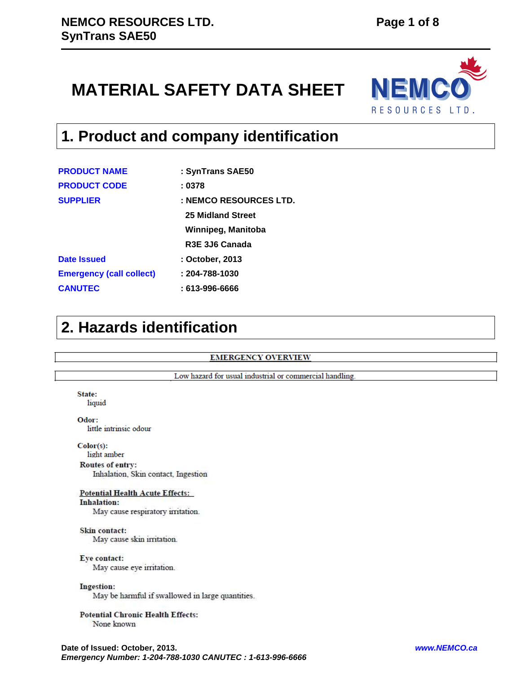# **MATERIAL SAFETY DATA SHEET**



# **1. Product and company identification**

| <b>PRODUCT NAME</b>             | : SynTrans SAE50       |
|---------------------------------|------------------------|
| <b>PRODUCT CODE</b>             | : 0378                 |
| <b>SUPPLIER</b>                 | : NEMCO RESOURCES LTD. |
|                                 | 25 Midland Street      |
|                                 | Winnipeg, Manitoba     |
|                                 | R3E 3J6 Canada         |
| <b>Date Issued</b>              | : October, 2013        |
| <b>Emergency (call collect)</b> | $: 204 - 788 - 1030$   |
| <b>CANUTEC</b>                  | : 613-996-6666         |

## **2. Hazards identification**

## **EMERGENCY OVERVIEW**

Low hazard for usual industrial or commercial handling.

## State:

liquid

Odor: little intrinsic odour

 $Color(s):$ 

light amber

**Routes of entry:** Inhalation, Skin contact, Ingestion

## **Potential Health Acute Effects:**

**Inhalation:** May cause respiratory irritation.

Skin contact: May cause skin irritation.

Eye contact:

May cause eye irritation.

Ingestion:

May be harmful if swallowed in large quantities.

## **Potential Chronic Health Effects:** None known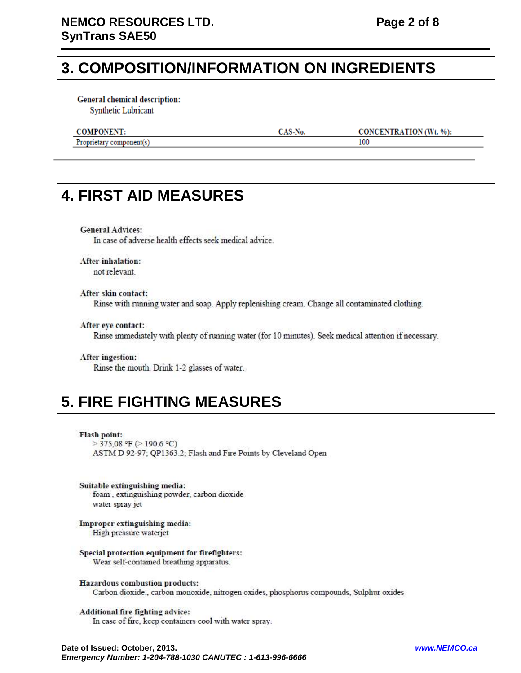## **3. COMPOSITION/INFORMATION ON INGREDIENTS**

**General chemical description:** 

Synthetic Lubricant

### **COMPONENT:**

CAS-No.

**CONCENTRATION** (Wt. %):

100

## Proprietary component(s)

## **4. FIRST AID MEASURES**

### **General Advices:**

In case of adverse health effects seek medical advice.

## **After inhalation:**

not relevant.

## After skin contact:

Rinse with running water and soap. Apply replenishing cream. Change all contaminated clothing.

### After eye contact:

Rinse immediately with plenty of running water (for 10 minutes). Seek medical attention if necessary.

### After ingestion:

Rinse the mouth. Drink 1-2 glasses of water.

## **5. FIRE FIGHTING MEASURES**

### Flash point:

 $>$  375,08 °F ( $>$  190.6 °C) ASTM D 92-97; QP1363.2; Flash and Fire Points by Cleveland Open

Suitable extinguishing media: foam, extinguishing powder, carbon dioxide water spray jet

Improper extinguishing media: High pressure waterjet

### Special protection equipment for firefighters: Wear self-contained breathing apparatus.

Hazardous combustion products: Carbon dioxide., carbon monoxide, nitrogen oxides, phosphorus compounds, Sulphur oxides

## Additional fire fighting advice:

In case of fire, keep containers cool with water spray.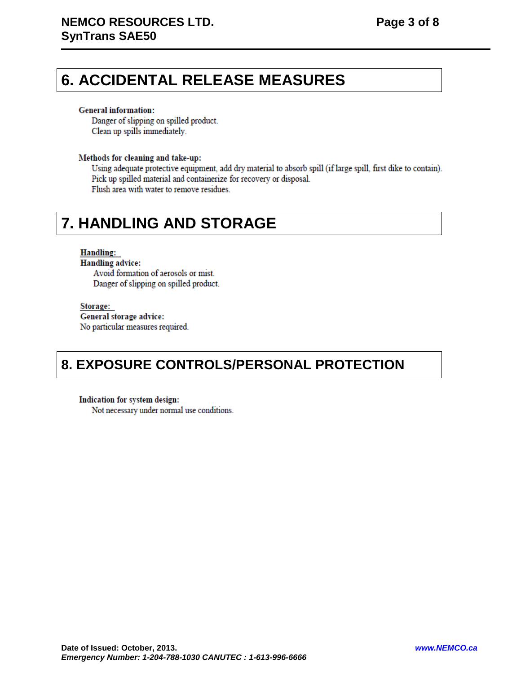## **6. ACCIDENTAL RELEASE MEASURES**

### **General information:**

Danger of slipping on spilled product. Clean up spills immediately.

## Methods for cleaning and take-up:

Using adequate protective equipment, add dry material to absorb spill (if large spill, first dike to contain). Pick up spilled material and containerize for recovery or disposal. Flush area with water to remove residues.

## **7. HANDLING AND STORAGE**

## **Handling:**

**Handling advice:** Avoid formation of aerosols or mist. Danger of slipping on spilled product.

### Storage:

General storage advice: No particular measures required.

## **8. EXPOSURE CONTROLS/PERSONAL PROTECTION**

Indication for system design: Not necessary under normal use conditions.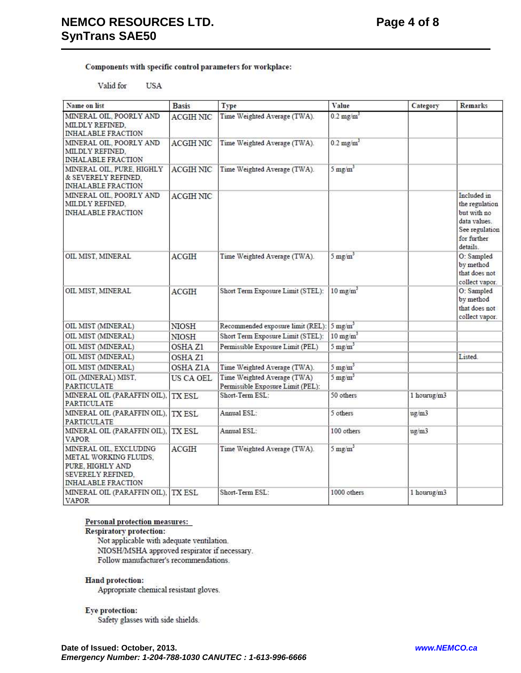Components with specific control parameters for workplace:

#### Valid for **USA**

| Name on list                                                                                                          | <b>Basis</b>     | Type                                                             | Value                   | Category    | <b>Remarks</b>                                                                                            |
|-----------------------------------------------------------------------------------------------------------------------|------------------|------------------------------------------------------------------|-------------------------|-------------|-----------------------------------------------------------------------------------------------------------|
| MINERAL OIL, POORLY AND<br>MILDLY REFINED.<br><b>INHALABLE FRACTION</b>                                               | <b>ACGIH NIC</b> | Time Weighted Average (TWA).                                     | $0.2 \text{ mg/m}^3$    |             |                                                                                                           |
| MINERAL OIL, POORLY AND<br>MILDLY REFINED.<br><b>INHALABLE FRACTION</b>                                               | <b>ACGIHNIC</b>  | Time Weighted Average (TWA).                                     | $0.2$ mg/m <sup>3</sup> |             |                                                                                                           |
| MINERAL OIL, PURE, HIGHLY<br>& SEVERELY REFINED.<br><b>INHALABLE FRACTION</b>                                         | <b>ACGIHNIC</b>  | Time Weighted Average (TWA).                                     | $5 \text{ mg/m}^3$      |             |                                                                                                           |
| MINERAL OIL, POORLY AND<br>MILDLY REFINED.<br><b>INHALABLE FRACTION</b>                                               | <b>ACGIH NIC</b> |                                                                  |                         |             | Included in<br>the regulation<br>but with no<br>data values.<br>See regulation<br>for further<br>details. |
| OIL MIST, MINERAL                                                                                                     | <b>ACGIH</b>     | Time Weighted Average (TWA).                                     | $5 \text{ mg/m}^3$      |             | O: Sampled<br>by method<br>that does not<br>collect vapor.                                                |
| OIL MIST, MINERAL                                                                                                     | ACGIH            | Short Term Exposure Limit (STEL):                                | $10 \text{ mg/m}^3$     |             | O: Sampled<br>by method<br>that does not<br>collect vapor.                                                |
| OIL MIST (MINERAL)                                                                                                    | <b>NIOSH</b>     | Recommended exposure limit (REL): 5 mg/m <sup>3</sup>            |                         |             |                                                                                                           |
| OIL MIST (MINERAL)                                                                                                    | <b>NIOSH</b>     | Short Term Exposure Limit (STEL):                                | $10 \text{ mg/m}^3$     |             |                                                                                                           |
| OIL MIST (MINERAL)                                                                                                    | OSHA Z1          | Permissible Exposure Limit (PEL)                                 | $5 \text{ mg/m}^3$      |             |                                                                                                           |
| OIL MIST (MINERAL)                                                                                                    | OSHA Z1          |                                                                  |                         |             | Listed.                                                                                                   |
| OIL MIST (MINERAL)                                                                                                    | OSHA ZIA         | Time Weighted Average (TWA).                                     | $5 \text{ mg/m}^3$      |             |                                                                                                           |
| OIL (MINERAL) MIST.<br><b>PARTICULATE</b>                                                                             | US CA OEL        | Time Weighted Average (TWA)<br>Permissible Exposure Limit (PEL): | $5 \text{ mg/m}^3$      |             |                                                                                                           |
| MINERAL OIL (PARAFFIN OIL),<br><b>PARTICULATE</b>                                                                     | <b>TX ESL</b>    | Short-Term ESL:                                                  | 50 others               | 1 hourug/m3 |                                                                                                           |
| MINERAL OIL (PARAFFIN OIL),<br><b>PARTICULATE</b>                                                                     | <b>TX ESL</b>    | Annual ESL:                                                      | 5 others                | ug/m3       |                                                                                                           |
| MINERAL OIL (PARAFFIN OIL),<br><b>VAPOR</b>                                                                           | <b>TX ESL</b>    | Annual ESL:                                                      | 100 others              | ug/m3       |                                                                                                           |
| MINERAL OIL, EXCLUDING<br>METAL WORKING FLUIDS,<br>PURE, HIGHLY AND<br>SEVERELY REFINED.<br><b>INHALABLE FRACTION</b> | ACGIH            | Time Weighted Average (TWA).                                     | $5 \text{ mg/m}^3$      |             |                                                                                                           |
| MINERAL OIL (PARAFFIN OIL),<br><b>VAPOR</b>                                                                           | TX ESL           | Short-Term ESL:                                                  | 1000 others             | 1 hourug/m3 |                                                                                                           |

### Personal protection measures:

**Respiratory protection:** 

Not applicable with adequate ventilation. NIOSH/MSHA approved respirator if necessary. Follow manufacturer's recommendations.

## Hand protection:

Appropriate chemical resistant gloves.

Eye protection:

Safety glasses with side shields.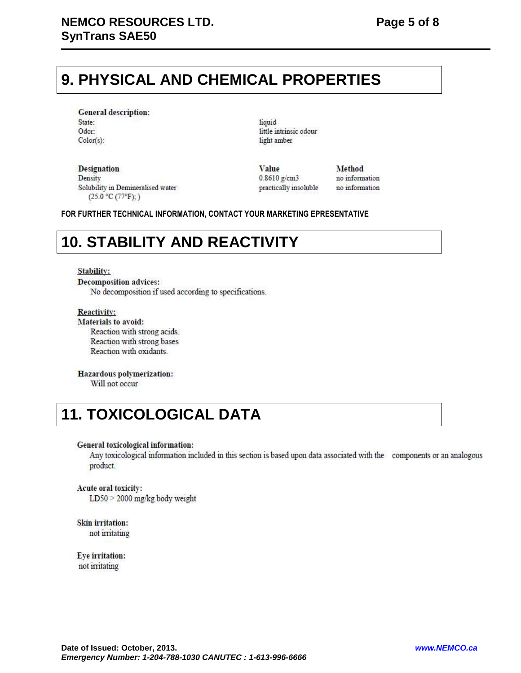# **9. PHYSICAL AND CHEMICAL PROPERTIES**

**General description:** State: Odor: Color(s):

liquid little intrinsic odour light amber

**Designation** Density Solubility in Demineralised water (25.0 °C (77°F);)

Value  $0.8610$  g/cm3 practically insoluble Method no information no information

**FOR FURTHER TECHNICAL INFORMATION, CONTACT YOUR MARKETING EPRESENTATIVE** 

# **10. STABILITY AND REACTIVITY**

### Stability:

**Decomposition advices:** No decomposition if used according to specifications.

Reactivity: **Materials to avoid:** Reaction with strong acids. Reaction with strong bases Reaction with oxidants.

Hazardous polymerization: Will not occur

## **11. TOXICOLOGICAL DATA**

## General toxicological information:

Any toxicological information included in this section is based upon data associated with the components or an analogous product.

## Acute oral toxicity:

 $LD50 > 2000$  mg/kg body weight

Skin irritation: not irritating

Eye irritation: not irritating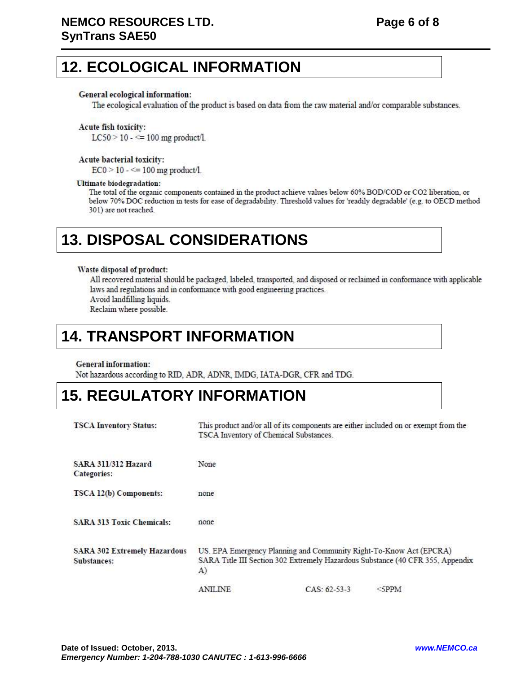## **12. ECOLOGICAL INFORMATION**

## General ecological information:

The ecological evaluation of the product is based on data from the raw material and/or comparable substances.

## Acute fish toxicity:

 $LC50 > 10 - \le 100$  mg product/l.

### Acute bacterial toxicity:

 $EC0 > 10 - \le 100$  mg product/l.

### **Ultimate biodegradation:**

The total of the organic components contained in the product achieve values below 60% BOD/COD or CO2 liberation, or below 70% DOC reduction in tests for ease of degradability. Threshold values for 'readily degradable' (e.g. to OECD method 301) are not reached.

# **13. DISPOSAL CONSIDERATIONS**

### Waste disposal of product:

All recovered material should be packaged, labeled, transported, and disposed or reclaimed in conformance with applicable laws and regulations and in conformance with good engineering practices. Avoid landfilling liquids.

Reclaim where possible.

## **14. TRANSPORT INFORMATION**

## **General information:**

Not hazardous according to RID, ADR, ADNR, IMDG, IATA-DGR, CFR and TDG.

## **15. REGULATORY INFORMATION**

| <b>TSCA Inventory Status:</b>                      |                                                                                                                                                            | TSCA Inventory of Chemical Substances. | This product and/or all of its components are either included on or exempt from the |
|----------------------------------------------------|------------------------------------------------------------------------------------------------------------------------------------------------------------|----------------------------------------|-------------------------------------------------------------------------------------|
| <b>SARA 311/312 Hazard</b><br>Categories:          | None                                                                                                                                                       |                                        |                                                                                     |
| TSCA 12(b) Components:                             | none                                                                                                                                                       |                                        |                                                                                     |
| <b>SARA 313 Toxic Chemicals:</b>                   | none                                                                                                                                                       |                                        |                                                                                     |
| <b>SARA 302 Extremely Hazardous</b><br>Substances: | US. EPA Emergency Planning and Community Right-To-Know Act (EPCRA)<br>SARA Title III Section 302 Extremely Hazardous Substance (40 CFR 355, Appendix<br>A) |                                        |                                                                                     |
|                                                    | ANII INE                                                                                                                                                   | $CAS. 62-53-3$                         | $<$ SPPM                                                                            |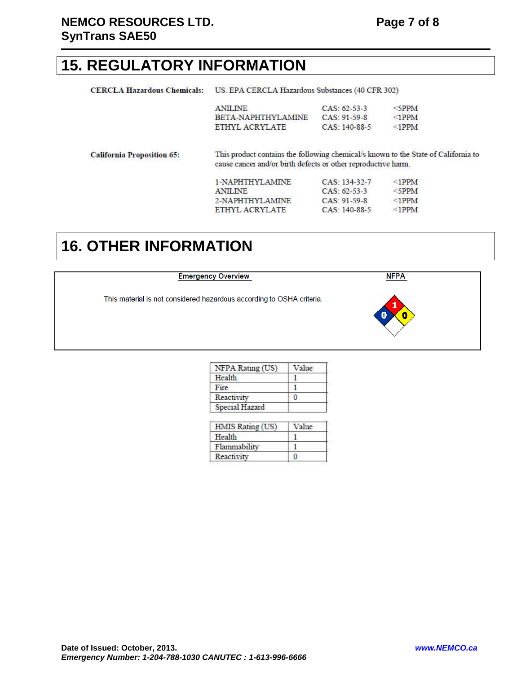## **15. REGULATORY INFORMATION**

| <b>CERCLA Hazardous Chemicals:</b> | US. EPA CERCLA Hazardous Substances (40 CFR 302)                                                                                                    |                 |             |  |
|------------------------------------|-----------------------------------------------------------------------------------------------------------------------------------------------------|-----------------|-------------|--|
|                                    | <b>ANILINE</b>                                                                                                                                      | $CAS: 62-53-3$  | $\le$ SPPM  |  |
|                                    | BETA-NAPHTHYLAMINE                                                                                                                                  | CAS: 91-59-8    | $\le$ 1PPM  |  |
|                                    | ETHYL ACRYLATE                                                                                                                                      | CAS: 140-88-5   | $\leq$ 1PPM |  |
| <b>California Proposition 65:</b>  | This product contains the following chemical/s known to the State of California to<br>cause cancer and/or birth defects or other reproductive harm. |                 |             |  |
|                                    | 1-NAPHTHYLAMINE                                                                                                                                     | CAS: 134-32-7   | $\le$ 1PPM  |  |
|                                    | <b>ANILINE</b>                                                                                                                                      | $CAS: 62-53-3$  | $\le$ 5PPM  |  |
|                                    | 2-NAPHTHYLAMINE                                                                                                                                     | CAS: 91-59-8    | $\leq$ 1PPM |  |
|                                    | ETHYL ACRYLATE                                                                                                                                      | $CAS: 140-88-5$ | $\leq$ 1PPM |  |

## **16. OTHER INFORMATION**

| <b>Emergency Overview</b> |  |
|---------------------------|--|
|                           |  |
|                           |  |

**NFPA** 

This material is not considered hazardous according to OSHA criteria.



| NFPA Rating (US) | Value |
|------------------|-------|
| Health           |       |
| Fire             |       |
| Reactivity       |       |
| Special Hazard   |       |

| HMIS Rating (US) | $V_2$ lue |
|------------------|-----------|
| Health           |           |
| Flammability     |           |
| Reactivity       |           |